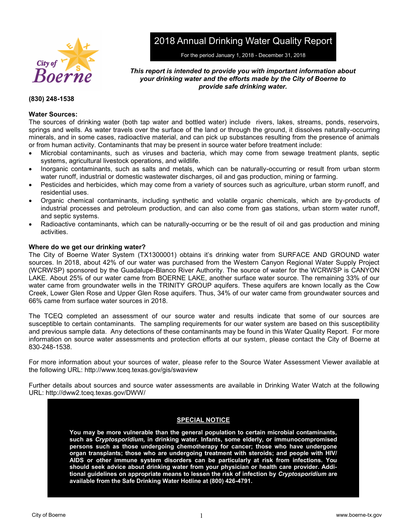

2018 Annual Drinking Water Quality Report

For the period January 1, 2018 - December 31, 2018

# *This report is intended to provide you with important information about your drinking water and the efforts made by the City of Boerne to provide safe drinking water.*

# **(830) 248-1538**

# **Water Sources:**

The sources of drinking water (both tap water and bottled water) include rivers, lakes, streams, ponds, reservoirs, springs and wells. As water travels over the surface of the land or through the ground, it dissolves naturally-occurring minerals, and in some cases, radioactive material, and can pick up substances resulting from the presence of animals or from human activity. Contaminants that may be present in source water before treatment include:

- Microbial contaminants, such as viruses and bacteria, which may come from sewage treatment plants, septic systems, agricultural livestock operations, and wildlife.
- Inorganic contaminants, such as salts and metals, which can be naturally-occurring or result from urban storm water runoff, industrial or domestic wastewater discharges, oil and gas production, mining or farming.
- Pesticides and herbicides, which may come from a variety of sources such as agriculture, urban storm runoff, and residential uses.
- Organic chemical contaminants, including synthetic and volatile organic chemicals, which are by-products of industrial processes and petroleum production, and can also come from gas stations, urban storm water runoff, and septic systems.
- Radioactive contaminants, which can be naturally-occurring or be the result of oil and gas production and mining activities.

# **Where do we get our drinking water?**

The City of Boerne Water System (TX1300001) obtains it's drinking water from SURFACE AND GROUND water sources. In 2018, about 42% of our water was purchased from the Western Canyon Regional Water Supply Project (WCRWSP) sponsored by the Guadalupe-Blanco River Authority. The source of water for the WCRWSP is CANYON LAKE. About 25% of our water came from BOERNE LAKE, another surface water source. The remaining 33% of our water came from groundwater wells in the TRINITY GROUP aquifers. These aquifers are known locally as the Cow Creek, Lower Glen Rose and Upper Glen Rose aquifers. Thus, 34% of our water came from groundwater sources and 66% came from surface water sources in 2018.

The TCEQ completed an assessment of our source water and results indicate that some of our sources are susceptible to certain contaminants. The sampling requirements for our water system are based on this susceptibility and previous sample data. Any detections of these contaminants may be found in this Water Quality Report. For more information on source water assessments and protection efforts at our system, please contact the City of Boerne at 830-248-1538.

For more information about your sources of water, please refer to the Source Water Assessment Viewer available at the following URL: http://www.tceq.texas.gov/gis/swaview

Further details about sources and source water assessments are available in Drinking Water Watch at the following URL: http://dww2.tceq.texas.gov/DWW/

# **SPECIAL NOTICE**

**You may be more vulnerable than the general population to certain microbial contaminants, such as** *Cryptosporidium,* **in drinking water. Infants, some elderly, or immunocompromised persons such as those undergoing chemotherapy for cancer; those who have undergone organ transplants; those who are undergoing treatment with steroids; and people with HIV/ AIDS or other immune system disorders can be particularly at risk from infections. You should seek advice about drinking water from your physician or health care provider. Additional guidelines on appropriate means to lessen the risk of infection by** *Cryptosporidium* **are available from the Safe Drinking Water Hotline at (800) 426-4791.**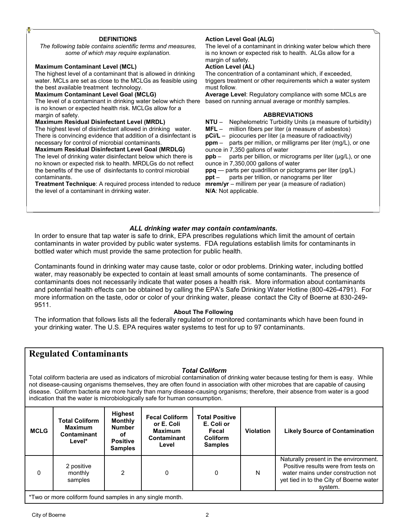#### **DEFINITIONS**

*The following table contains scientific terms and measures, some of which may require explanation.*

#### **Maximum Contaminant Level (MCL)**

The highest level of a contaminant that is allowed in drinking water. MCLs are set as close to the MCLGs as feasible using the best available treatment technology.

#### **Maximum Contaminant Level Goal (MCLG)**

The level of a contaminant in drinking water below which there is no known or expected health risk. MCLGs allow for a margin of safety.

#### **Maximum Residual Disinfectant Level (MRDL)**

The highest level of disinfectant allowed in drinking water. There is convincing evidence that addition of a disinfectant is necessary for control of microbial contaminants.

#### **Maximum Residual Disinfectant Level Goal (MRDLG)**

The level of drinking water disinfectant below which there is no known or expected risk to health. MRDLGs do not reflect the benefits of the use of disinfectants to control microbial contaminants.

**Treatment Technique**: A required process intended to reduce the level of a contaminant in drinking water.

# **Action Level Goal (ALG)**

The level of a contaminant in drinking water below which there is no known or expected risk to health. ALGs allow for a margin of safety.

#### **Action Level (AL)**

The concentration of a contaminant which, if exceeded, triggers treatment or other requirements which a water system must follow.

**Average Level**: Regulatory compliance with some MCLs are based on running annual average or monthly samples.

#### **ABBREVIATIONS**

**NTU** – Nephelometric Turbidity Units (a measure of turbidity)

**MFL** – million fibers per liter (a measure of asbestos)

**pCi/L** – picocuries per liter (a measure of radioactivity)

**ppm** – parts per million, or milligrams per liter (mg/L), or one ounce in 7,350 gallons of water

**ppb** – parts per billion, or micrograms per liter ( $\mu$ g/L), or one ounce in 7,350,000 gallons of water

**ppq** — parts per quadrillion or pictograms per liter (pg/L)

**ppt** – parts per trillion, or nanograms per liter **mrem/yr** – millirem per year (a measure of radiation) **N/A**: Not applicable.

# *ALL drinking water may contain contaminants.*

In order to ensure that tap water is safe to drink, EPA prescribes regulations which limit the amount of certain contaminants in water provided by public water systems. FDA regulations establish limits for contaminants in bottled water which must provide the same protection for public health.

Contaminants found in drinking water may cause taste, color or odor problems. Drinking water, including bottled water, may reasonably be expected to contain at least small amounts of some contaminants. The presence of contaminants does not necessarily indicate that water poses a health risk. More information about contaminants and potential health effects can be obtained by calling the EPA's Safe Drinking Water Hotline (800-426-4791). For more information on the taste, odor or color of your drinking water, please contact the City of Boerne at 830-249- 9511.

# **About The Following**

The information that follows lists all the federally regulated or monitored contaminants which have been found in your drinking water. The U.S. EPA requires water systems to test for up to 97 contaminants.

# **Regulated Contaminants**

# *Total Coliform*

Total coliform bacteria are used as indicators of microbial contamination of drinking water because testing for them is easy. While not disease-causing organisms themselves, they are often found in association with other microbes that are capable of causing disease. Coliform bacteria are more hardy than many disease-causing organisms; therefore, their absence from water is a good indication that the water is microbiologically safe for human consumption.

| Positive results were from tests on<br>2 positive<br>2<br>0<br>N<br>$\mathbf{0}$<br>0<br>water mains under construction not<br>monthly<br>samples | <b>MCLG</b> | <b>Total Coliform</b><br><b>Maximum</b><br>Contaminant<br>Level* | <b>Highest</b><br><b>Monthly</b><br><b>Number</b><br>οf<br><b>Positive</b><br><b>Samples</b> | <b>Fecal Coliform</b><br>or E. Coli<br><b>Maximum</b><br><b>Contaminant</b><br>Level | <b>Total Positive</b><br>E. Coli or<br>Fecal<br><b>Coliform</b><br><b>Samples</b> | <b>Violation</b> | <b>Likely Source of Contamination</b>                                                       |
|---------------------------------------------------------------------------------------------------------------------------------------------------|-------------|------------------------------------------------------------------|----------------------------------------------------------------------------------------------|--------------------------------------------------------------------------------------|-----------------------------------------------------------------------------------|------------------|---------------------------------------------------------------------------------------------|
|                                                                                                                                                   |             |                                                                  |                                                                                              |                                                                                      |                                                                                   |                  | Naturally present in the environment.<br>yet tied in to the City of Boerne water<br>system. |

\*Two or more coliform found samples in any single month.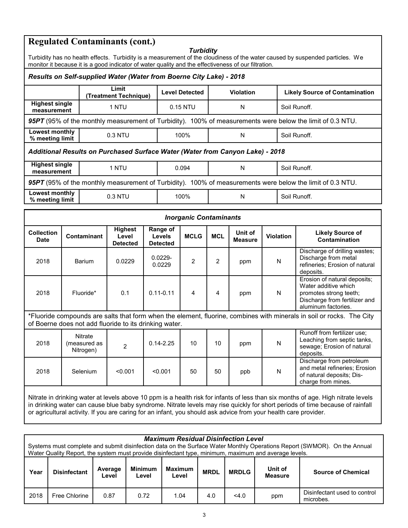# **Regulated Contaminants (cont.)**

# *Turbidity*

| <i><u><b>I</b>UIDIUILY</u></i><br>Turbidity has no health effects. Turbidity is a measurement of the cloudiness of the water caused by suspended particles. We<br>monitor it because it is a good indicator of water quality and the effectiveness of our filtration. |                                                                                                                                               |               |                                                                                                                  |                                              |                       |            |                           |                                                                                                       |                                       |                                                                                                                                                                                                                                                                    |  |
|-----------------------------------------------------------------------------------------------------------------------------------------------------------------------------------------------------------------------------------------------------------------------|-----------------------------------------------------------------------------------------------------------------------------------------------|---------------|------------------------------------------------------------------------------------------------------------------|----------------------------------------------|-----------------------|------------|---------------------------|-------------------------------------------------------------------------------------------------------|---------------------------------------|--------------------------------------------------------------------------------------------------------------------------------------------------------------------------------------------------------------------------------------------------------------------|--|
| Results on Self-supplied Water (Water from Boerne City Lake) - 2018                                                                                                                                                                                                   |                                                                                                                                               |               |                                                                                                                  |                                              |                       |            |                           |                                                                                                       |                                       |                                                                                                                                                                                                                                                                    |  |
| Limit<br>(Treatment Technique)                                                                                                                                                                                                                                        |                                                                                                                                               |               |                                                                                                                  |                                              | <b>Level Detected</b> |            | Violation                 |                                                                                                       | <b>Likely Source of Contamination</b> |                                                                                                                                                                                                                                                                    |  |
| <b>Highest single</b><br>measurement                                                                                                                                                                                                                                  |                                                                                                                                               |               | 1 NTU                                                                                                            |                                              | 0.15 NTU              |            | N                         |                                                                                                       |                                       | Soil Runoff.                                                                                                                                                                                                                                                       |  |
|                                                                                                                                                                                                                                                                       |                                                                                                                                               |               |                                                                                                                  |                                              |                       |            |                           |                                                                                                       |                                       | 95PT (95% of the monthly measurement of Turbidity). 100% of measurements were below the limit of 0.3 NTU.                                                                                                                                                          |  |
| Lowest monthly<br>% meeting limit                                                                                                                                                                                                                                     |                                                                                                                                               |               | 0.3 NTU                                                                                                          |                                              | 100%                  |            | N                         |                                                                                                       |                                       | Soil Runoff.                                                                                                                                                                                                                                                       |  |
|                                                                                                                                                                                                                                                                       |                                                                                                                                               |               | Additional Results on Purchased Surface Water (Water from Canyon Lake) - 2018                                    |                                              |                       |            |                           |                                                                                                       |                                       |                                                                                                                                                                                                                                                                    |  |
| <b>Highest single</b><br>measurement                                                                                                                                                                                                                                  |                                                                                                                                               |               | 1 NTU                                                                                                            |                                              | 0.094                 |            | N                         |                                                                                                       |                                       | Soil Runoff.                                                                                                                                                                                                                                                       |  |
|                                                                                                                                                                                                                                                                       |                                                                                                                                               |               |                                                                                                                  |                                              |                       |            |                           |                                                                                                       |                                       | 95PT (95% of the monthly measurement of Turbidity). 100% of measurements were below the limit of 0.3 NTU.                                                                                                                                                          |  |
| Lowest monthly<br>% meeting limit                                                                                                                                                                                                                                     |                                                                                                                                               |               | 0.3 NTU                                                                                                          |                                              | 100%                  |            | N                         |                                                                                                       |                                       | Soil Runoff.                                                                                                                                                                                                                                                       |  |
| <b>Inorganic Contaminants</b>                                                                                                                                                                                                                                         |                                                                                                                                               |               |                                                                                                                  |                                              |                       |            |                           |                                                                                                       |                                       |                                                                                                                                                                                                                                                                    |  |
| <b>Collection</b><br><b>Date</b>                                                                                                                                                                                                                                      |                                                                                                                                               | Contaminant   | <b>Highest</b><br>Level<br><b>Detected</b>                                                                       | Range of<br><b>Levels</b><br><b>Detected</b> | <b>MCLG</b>           | <b>MCL</b> | Unit of<br><b>Measure</b> |                                                                                                       | <b>Violation</b>                      | <b>Likely Source of</b><br>Contamination                                                                                                                                                                                                                           |  |
| 2018                                                                                                                                                                                                                                                                  |                                                                                                                                               | Barium        | 0.0229                                                                                                           | 0.0229-<br>0.0229                            | $\overline{c}$        | 2          | ppm                       |                                                                                                       | N                                     | Discharge of drilling wastes;<br>Discharge from metal<br>refineries; Erosion of natural<br>deposits.                                                                                                                                                               |  |
| 2018                                                                                                                                                                                                                                                                  |                                                                                                                                               | Fluoride*     | 0.1                                                                                                              | $0.11 - 0.11$                                | 4                     | 4          | ppm                       |                                                                                                       | N                                     | Erosion of natural deposits;<br>Water additive which<br>promotes strong teeth;<br>Discharge from fertilizer and<br>aluminum factories.                                                                                                                             |  |
| *Fluoride compounds are salts that form when the element, fluorine, combines with minerals in soil or rocks. The City<br>of Boerne does not add fluoride to its drinking water.                                                                                       |                                                                                                                                               |               |                                                                                                                  |                                              |                       |            |                           |                                                                                                       |                                       |                                                                                                                                                                                                                                                                    |  |
| Nitrate<br>2018<br>(measured as<br>$\overline{2}$<br>Nitrogen)                                                                                                                                                                                                        |                                                                                                                                               | $0.14 - 2.25$ | 10                                                                                                               | 10                                           | ppm                   |            | N                         | Runoff from fertilizer use;<br>Leaching from septic tanks,<br>sewage; Erosion of natural<br>deposits. |                                       |                                                                                                                                                                                                                                                                    |  |
| 2018                                                                                                                                                                                                                                                                  | Discharge from petroleum<br>${\sf N}$<br>Selenium<br>< 0.001<br>< 0.001<br>50<br>50<br>ppb<br>of natural deposits; Dis-<br>charge from mines. |               |                                                                                                                  |                                              |                       |            |                           | and metal refineries; Erosion                                                                         |                                       |                                                                                                                                                                                                                                                                    |  |
|                                                                                                                                                                                                                                                                       |                                                                                                                                               |               | or agricultural activity. If you are caring for an infant, you should ask advice from your health care provider. |                                              |                       |            |                           |                                                                                                       |                                       | Nitrate in drinking water at levels above 10 ppm is a health risk for infants of less than six months of age. High nitrate levels<br>in drinking water can cause blue baby syndrome. Nitrate levels may rise quickly for short periods of time because of rainfall |  |

|      | <b>Maximum Residual Disinfection Level</b><br>Systems must complete and submit disinfection data on the Surface Water Monthly Operations Report (SWMOR). On the Annual<br>Water Quality Report, the system must provide disinfectant type, minimum, maximum and average levels. |                  |                         |                         |             |              |                           |                                           |  |  |  |  |
|------|---------------------------------------------------------------------------------------------------------------------------------------------------------------------------------------------------------------------------------------------------------------------------------|------------------|-------------------------|-------------------------|-------------|--------------|---------------------------|-------------------------------------------|--|--|--|--|
| Year | <b>Disinfectant</b>                                                                                                                                                                                                                                                             | Average<br>Level | <b>Minimum</b><br>Level | <b>Maximum</b><br>Level | <b>MRDL</b> | <b>MRDLG</b> | Unit of<br><b>Measure</b> | <b>Source of Chemical</b>                 |  |  |  |  |
| 2018 | Free Chlorine                                                                                                                                                                                                                                                                   | 0.87             | 0.72                    | 1.04                    | 4.0         | 4.0          | ppm                       | Disinfectant used to control<br>microbes. |  |  |  |  |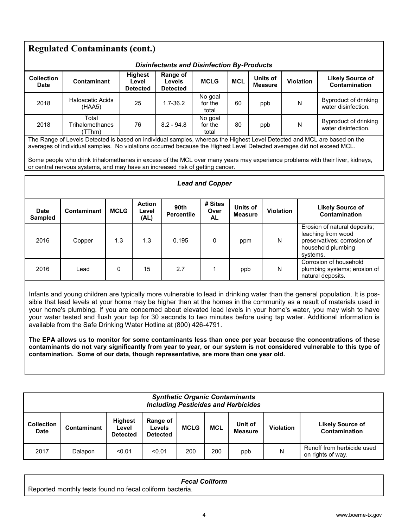| <b>Regulated Contaminants (cont.)</b><br><b>Disinfectants and Disinfection By-Products</b>                                                                                                                                                                                                                                                                                                                                                                                                                                                                                                                                                                                                                                                                                                                                                                                                            |                                                                                                                                                                                                         |             |                                            |                                              |                              |                            |  |                                                                                                                          |  |                  |                                                                                                                               |
|-------------------------------------------------------------------------------------------------------------------------------------------------------------------------------------------------------------------------------------------------------------------------------------------------------------------------------------------------------------------------------------------------------------------------------------------------------------------------------------------------------------------------------------------------------------------------------------------------------------------------------------------------------------------------------------------------------------------------------------------------------------------------------------------------------------------------------------------------------------------------------------------------------|---------------------------------------------------------------------------------------------------------------------------------------------------------------------------------------------------------|-------------|--------------------------------------------|----------------------------------------------|------------------------------|----------------------------|--|--------------------------------------------------------------------------------------------------------------------------|--|------------------|-------------------------------------------------------------------------------------------------------------------------------|
| <b>Collection</b><br><b>Date</b>                                                                                                                                                                                                                                                                                                                                                                                                                                                                                                                                                                                                                                                                                                                                                                                                                                                                      | Contaminant                                                                                                                                                                                             |             | <b>Highest</b><br>Level<br><b>Detected</b> | Range of<br><b>Levels</b><br><b>Detected</b> | <b>MCLG</b>                  | <b>MCL</b>                 |  | Units of<br><b>Measure</b>                                                                                               |  | <b>Violation</b> | <b>Likely Source of</b><br>Contamination                                                                                      |
| 2018                                                                                                                                                                                                                                                                                                                                                                                                                                                                                                                                                                                                                                                                                                                                                                                                                                                                                                  | <b>Haloacetic Acids</b><br>(HAA5)                                                                                                                                                                       |             | 25                                         | $1.7 - 36.2$                                 | No goal<br>for the<br>total  | 60                         |  | ppb                                                                                                                      |  | N                | <b>Byproduct of drinking</b><br>water disinfection.                                                                           |
| 2018                                                                                                                                                                                                                                                                                                                                                                                                                                                                                                                                                                                                                                                                                                                                                                                                                                                                                                  | Total<br>Trihalomethanes<br>(TThm)                                                                                                                                                                      |             | 76                                         | $8.2 - 94.8$                                 | No goal<br>for the<br>total  | 80                         |  | ppb                                                                                                                      |  | N                | Byproduct of drinking<br>water disinfection.                                                                                  |
|                                                                                                                                                                                                                                                                                                                                                                                                                                                                                                                                                                                                                                                                                                                                                                                                                                                                                                       | averages of individual samples. No violations occurred because the Highest Level Detected averages did not exceed MCL.<br>or central nervous systems, and may have an increased risk of getting cancer. |             |                                            |                                              |                              |                            |  |                                                                                                                          |  |                  | Some people who drink trihalomethanes in excess of the MCL over many years may experience problems with their liver, kidneys, |
| <b>Lead and Copper</b>                                                                                                                                                                                                                                                                                                                                                                                                                                                                                                                                                                                                                                                                                                                                                                                                                                                                                |                                                                                                                                                                                                         |             |                                            |                                              |                              |                            |  |                                                                                                                          |  |                  |                                                                                                                               |
| <b>Date</b><br><b>Sampled</b>                                                                                                                                                                                                                                                                                                                                                                                                                                                                                                                                                                                                                                                                                                                                                                                                                                                                         | <b>Contaminant</b>                                                                                                                                                                                      | <b>MCLG</b> | <b>Action</b><br>Level<br>(AL)             | 90th<br><b>Percentile</b>                    | # Sites<br>Over<br><b>AL</b> | Units of<br><b>Measure</b> |  | <b>Violation</b>                                                                                                         |  |                  | <b>Likely Source of</b><br>Contamination                                                                                      |
| 2016                                                                                                                                                                                                                                                                                                                                                                                                                                                                                                                                                                                                                                                                                                                                                                                                                                                                                                  | Copper                                                                                                                                                                                                  | 1.3         | 1.3                                        | 0.195                                        | 0                            | ppm                        |  | Erosion of natural deposits;<br>leaching from wood<br>N<br>preservatives; corrosion of<br>household plumbing<br>systems. |  |                  |                                                                                                                               |
| 2016                                                                                                                                                                                                                                                                                                                                                                                                                                                                                                                                                                                                                                                                                                                                                                                                                                                                                                  | Corrosion of household<br>0<br>2.7<br>15<br>1<br>N<br>plumbing systems; erosion of<br>Lead<br>ppb<br>natural deposits.                                                                                  |             |                                            |                                              |                              |                            |  |                                                                                                                          |  |                  |                                                                                                                               |
| Infants and young children are typically more vulnerable to lead in drinking water than the general population. It is pos-<br>sible that lead levels at your home may be higher than at the homes in the community as a result of materials used in<br>your home's plumbing. If you are concerned about elevated lead levels in your home's water, you may wish to have<br>your water tested and flush your tap for 30 seconds to two minutes before using tap water. Additional information is<br>available from the Safe Drinking Water Hotline at (800) 426-4791.<br>The EPA allows us to monitor for some contaminants less than once per year because the concentrations of these<br>contaminants do not vary significantly from year to year, or our system is not considered vulnerable to this type of<br>contamination. Some of our data, though representative, are more than one year old. |                                                                                                                                                                                                         |             |                                            |                                              |                              |                            |  |                                                                                                                          |  |                  |                                                                                                                               |

| <b>Synthetic Organic Contaminants</b><br><b>Including Pesticides and Herbicides</b>                                                                                                                                  |         |        |        |     |     |     |   |                                                 |  |  |
|----------------------------------------------------------------------------------------------------------------------------------------------------------------------------------------------------------------------|---------|--------|--------|-----|-----|-----|---|-------------------------------------------------|--|--|
| <b>Highest</b><br>Range of<br><b>Collection</b><br>Unit of<br><b>MCL</b><br><b>MCLG</b><br><b>Violation</b><br>Contaminant<br>Levels<br>Level<br><b>Date</b><br><b>Measure</b><br><b>Detected</b><br><b>Detected</b> |         |        |        |     |     |     |   | <b>Likely Source of</b><br>Contamination        |  |  |
| 2017                                                                                                                                                                                                                 | Dalapon | < 0.01 | < 0.01 | 200 | 200 | ppb | N | Runoff from herbicide used<br>on rights of way. |  |  |

| <b>Fecal Coliform</b>                                    |  |
|----------------------------------------------------------|--|
| Reported monthly tests found no fecal coliform bacteria. |  |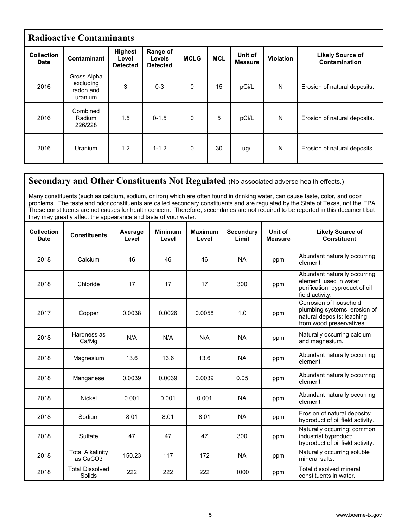| <b>Radioactive Contaminants</b>  |                                                  |                                            |                                       |             |            |                           |              |                                          |  |  |  |
|----------------------------------|--------------------------------------------------|--------------------------------------------|---------------------------------------|-------------|------------|---------------------------|--------------|------------------------------------------|--|--|--|
| <b>Collection</b><br><b>Date</b> | Contaminant                                      | <b>Highest</b><br>Level<br><b>Detected</b> | Range of<br>Levels<br><b>Detected</b> | <b>MCLG</b> | <b>MCL</b> | Unit of<br><b>Measure</b> | Violation    | <b>Likely Source of</b><br>Contamination |  |  |  |
| 2016                             | Gross Alpha<br>excluding<br>radon and<br>uranium | 3                                          | $0 - 3$                               | 0           | 15         | pCi/L                     | $\mathsf{N}$ | Erosion of natural deposits.             |  |  |  |
| 2016                             | Combined<br>Radium<br>226/228                    | 1.5                                        | $0 - 1.5$                             | $\Omega$    | 5          | pCi/L                     | N            | Erosion of natural deposits.             |  |  |  |
| 2016                             | <b>Uranium</b>                                   | 1.2                                        | $1 - 1.2$                             | $\Omega$    | 30         | ug/l                      | $\mathsf{N}$ | Erosion of natural deposits.             |  |  |  |

# **Secondary and Other Constituents Not Regulated** (No associated adverse health effects.)

Many constituents (such as calcium, sodium, or iron) which are often found in drinking water, can cause taste, color, and odor problems. The taste and odor constituents are called secondary constituents and are regulated by the State of Texas, not the EPA. These constituents are not causes for health concern. Therefore, secondaries are not required to be reported in this document but they may greatly affect the appearance and taste of your water.

| <b>Collection</b><br><b>Date</b> | <b>Constituents</b>                 | Average<br>Level | <b>Minimum</b><br>Level | <b>Maximum</b><br>Level | <b>Secondary</b><br>Limit | Unit of<br><b>Measure</b> | <b>Likely Source of</b><br><b>Constituent</b>                                                                    |
|----------------------------------|-------------------------------------|------------------|-------------------------|-------------------------|---------------------------|---------------------------|------------------------------------------------------------------------------------------------------------------|
| 2018                             | Calcium                             | 46               | 46                      | 46                      | <b>NA</b>                 | ppm                       | Abundant naturally occurring<br>element.                                                                         |
| 2018                             | Chloride                            | 17               | 17                      | 17                      | 300                       | ppm                       | Abundant naturally occurring<br>element; used in water<br>purification; byproduct of oil<br>field activity.      |
| 2017                             | Copper                              | 0.0038           | 0.0026                  | 0.0058                  | 1.0                       | ppm                       | Corrosion of household<br>plumbing systems; erosion of<br>natural deposits; leaching<br>from wood preservatives. |
| 2018                             | Hardness as<br>Ca/Mg                | N/A              | N/A                     | N/A                     | <b>NA</b>                 | ppm                       | Naturally occurring calcium<br>and magnesium.                                                                    |
| 2018                             | Magnesium                           | 13.6             | 13.6                    | 13.6                    | <b>NA</b>                 | ppm                       | Abundant naturally occurring<br>element.                                                                         |
| 2018                             | Manganese                           | 0.0039           | 0.0039                  | 0.0039                  | 0.05                      | ppm                       | Abundant naturally occurring<br>element.                                                                         |
| 2018                             | Nickel                              | 0.001            | 0.001                   | 0.001                   | <b>NA</b>                 | ppm                       | Abundant naturally occurring<br>element.                                                                         |
| 2018                             | Sodium                              | 8.01             | 8.01                    | 8.01                    | <b>NA</b>                 | ppm                       | Erosion of natural deposits;<br>byproduct of oil field activity.                                                 |
| 2018                             | Sulfate                             | 47               | 47                      | 47                      | 300                       | ppm                       | Naturally occurring; common<br>industrial byproduct;<br>byproduct of oil field activity.                         |
| 2018                             | <b>Total Alkalinity</b><br>as CaCO3 | 150.23           | 117                     | 172                     | <b>NA</b>                 | ppm                       | Naturally occurring soluble<br>mineral salts.                                                                    |
| 2018                             | <b>Total Dissolved</b><br>Solids    | 222              | 222                     | 222                     | 1000                      | ppm                       | Total dissolved mineral<br>constituents in water.                                                                |